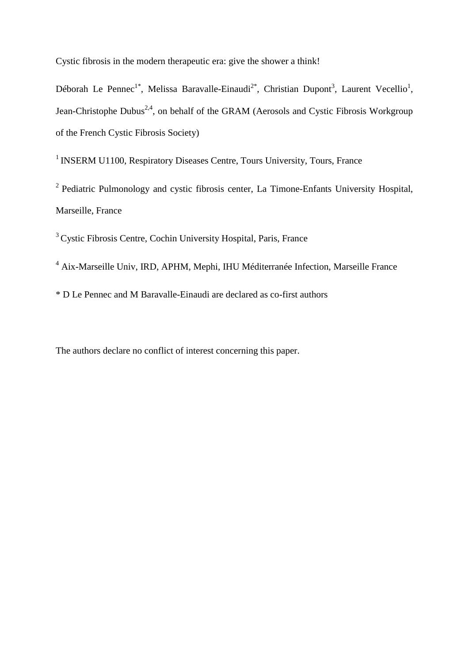Cystic fibrosis in the modern therapeutic era: give the shower a think!

Déborah Le Pennec<sup>1\*</sup>, Melissa Baravalle-Einaudi<sup>2\*</sup>, Christian Dupont<sup>3</sup>, Laurent Vecellio<sup>1</sup>, Jean-Christophe Dubus<sup>2,4</sup>, on behalf of the GRAM (Aerosols and Cystic Fibrosis Workgroup of the French Cystic Fibrosis Society)

<sup>1</sup> INSERM U1100, Respiratory Diseases Centre, Tours University, Tours, France

<sup>2</sup> Pediatric Pulmonology and cystic fibrosis center, La Timone-Enfants University Hospital, Marseille, France

<sup>3</sup>Cystic Fibrosis Centre, Cochin University Hospital, Paris, France

<sup>4</sup> Aix-Marseille Univ, IRD, APHM, Mephi, IHU Méditerranée Infection, Marseille France

\* D Le Pennec and M Baravalle-Einaudi are declared as co-first authors

The authors declare no conflict of interest concerning this paper.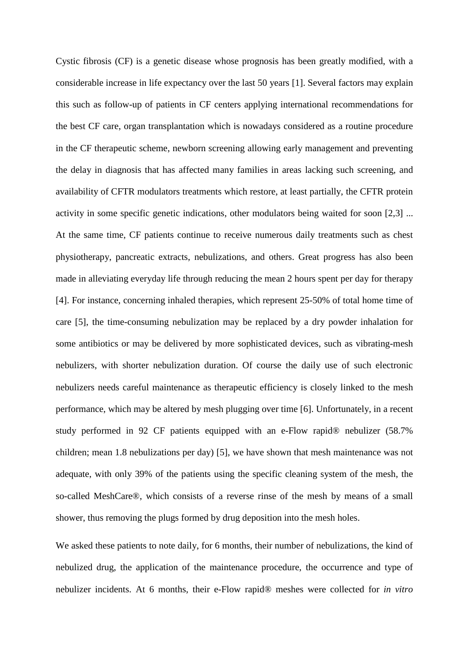Cystic fibrosis (CF) is a genetic disease whose prognosis has been greatly modified, with a considerable increase in life expectancy over the last 50 years [1]. Several factors may explain this such as follow-up of patients in CF centers applying international recommendations for the best CF care, organ transplantation which is nowadays considered as a routine procedure in the CF therapeutic scheme, newborn screening allowing early management and preventing the delay in diagnosis that has affected many families in areas lacking such screening, and availability of CFTR modulators treatments which restore, at least partially, the CFTR protein activity in some specific genetic indications, other modulators being waited for soon [2,3] ... At the same time, CF patients continue to receive numerous daily treatments such as chest physiotherapy, pancreatic extracts, nebulizations, and others. Great progress has also been made in alleviating everyday life through reducing the mean 2 hours spent per day for therapy [4]. For instance, concerning inhaled therapies, which represent 25-50% of total home time of care [5], the time-consuming nebulization may be replaced by a dry powder inhalation for some antibiotics or may be delivered by more sophisticated devices, such as vibrating-mesh nebulizers, with shorter nebulization duration. Of course the daily use of such electronic nebulizers needs careful maintenance as therapeutic efficiency is closely linked to the mesh performance, which may be altered by mesh plugging over time [6]. Unfortunately, in a recent study performed in 92 CF patients equipped with an e-Flow rapid® nebulizer (58.7% children; mean 1.8 nebulizations per day) [5], we have shown that mesh maintenance was not adequate, with only 39% of the patients using the specific cleaning system of the mesh, the so-called MeshCare®, which consists of a reverse rinse of the mesh by means of a small shower, thus removing the plugs formed by drug deposition into the mesh holes.

We asked these patients to note daily, for 6 months, their number of nebulizations, the kind of nebulized drug, the application of the maintenance procedure, the occurrence and type of nebulizer incidents. At 6 months, their e-Flow rapid® meshes were collected for *in vitro*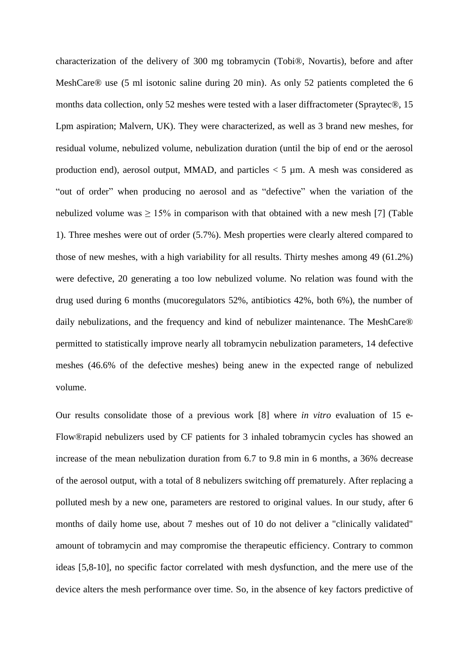characterization of the delivery of 300 mg tobramycin (Tobi®, Novartis), before and after MeshCare® use (5 ml isotonic saline during 20 min). As only 52 patients completed the 6 months data collection, only 52 meshes were tested with a laser diffractometer (Spraytec®, 15 Lpm aspiration; Malvern, UK). They were characterized, as well as 3 brand new meshes, for residual volume, nebulized volume, nebulization duration (until the bip of end or the aerosol production end), aerosol output, MMAD, and particles  $\lt$  5 µm. A mesh was considered as "out of order" when producing no aerosol and as "defective" when the variation of the nebulized volume was  $\geq 15\%$  in comparison with that obtained with a new mesh [7] (Table 1). Three meshes were out of order (5.7%). Mesh properties were clearly altered compared to those of new meshes, with a high variability for all results. Thirty meshes among 49 (61.2%) were defective, 20 generating a too low nebulized volume. No relation was found with the drug used during 6 months (mucoregulators 52%, antibiotics 42%, both 6%), the number of daily nebulizations, and the frequency and kind of nebulizer maintenance. The MeshCare® permitted to statistically improve nearly all tobramycin nebulization parameters, 14 defective meshes (46.6% of the defective meshes) being anew in the expected range of nebulized volume.

Our results consolidate those of a previous work [8] where *in vitro* evaluation of 15 e-Flow®rapid nebulizers used by CF patients for 3 inhaled tobramycin cycles has showed an increase of the mean nebulization duration from 6.7 to 9.8 min in 6 months, a 36% decrease of the aerosol output, with a total of 8 nebulizers switching off prematurely. After replacing a polluted mesh by a new one, parameters are restored to original values. In our study, after 6 months of daily home use, about 7 meshes out of 10 do not deliver a "clinically validated" amount of tobramycin and may compromise the therapeutic efficiency. Contrary to common ideas [5,8-10], no specific factor correlated with mesh dysfunction, and the mere use of the device alters the mesh performance over time. So, in the absence of key factors predictive of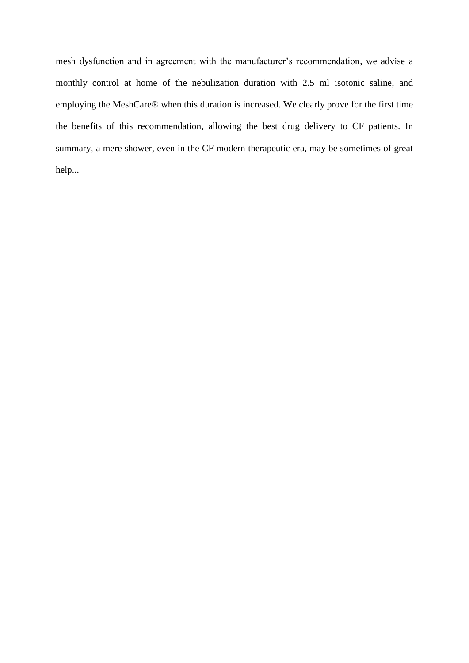mesh dysfunction and in agreement with the manufacturer's recommendation, we advise a monthly control at home of the nebulization duration with 2.5 ml isotonic saline, and employing the MeshCare® when this duration is increased. We clearly prove for the first time the benefits of this recommendation, allowing the best drug delivery to CF patients. In summary, a mere shower, even in the CF modern therapeutic era, may be sometimes of great help...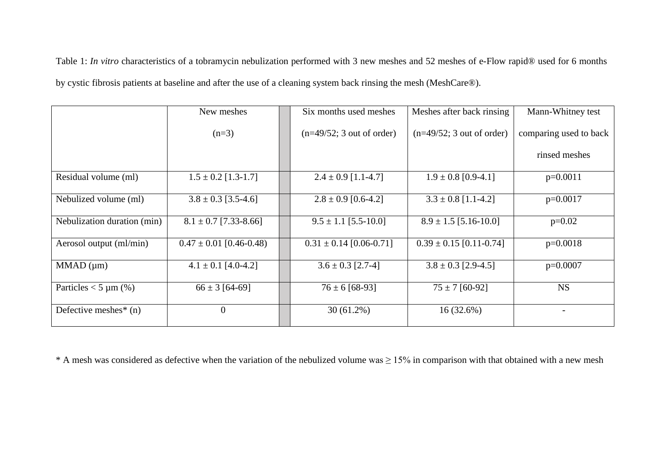Table 1: *In vitro* characteristics of a tobramycin nebulization performed with 3 new meshes and 52 meshes of e-Flow rapid® used for 6 months by cystic fibrosis patients at baseline and after the use of a cleaning system back rinsing the mesh (MeshCare®).

|                                     | New meshes                  | Six months used meshes      | Meshes after back rinsing   | Mann-Whitney test      |
|-------------------------------------|-----------------------------|-----------------------------|-----------------------------|------------------------|
|                                     | $(n=3)$                     | $(n=49/52; 3$ out of order) | $(n=49/52; 3$ out of order) | comparing used to back |
|                                     |                             |                             |                             | rinsed meshes          |
| Residual volume (ml)                | $1.5 \pm 0.2$ [1.3-1.7]     | $2.4 \pm 0.9$ [1.1-4.7]     | $1.9 \pm 0.8$ [0.9-4.1]     | $p=0.0011$             |
| Nebulized volume (ml)               | $3.8 \pm 0.3$ [3.5-4.6]     | $2.8 \pm 0.9$ [0.6-4.2]     | $3.3 \pm 0.8$ [1.1-4.2]     | $p=0.0017$             |
| Nebulization duration (min)         | $8.1 \pm 0.7$ [7.33-8.66]   | $9.5 \pm 1.1$ [5.5-10.0]    | $8.9 \pm 1.5$ [5.16-10.0]   | $p=0.02$               |
| Aerosol output (ml/min)             | $0.47 \pm 0.01$ [0.46-0.48) | $0.31 \pm 0.14$ [0.06-0.71] | $0.39 \pm 0.15$ [0.11-0.74] | $p=0.0018$             |
| $MMAD$ ( $\mu$ m)                   | $4.1 \pm 0.1$ [4.0-4.2]     | $3.6 \pm 0.3$ [2.7-4]       | $3.8 \pm 0.3$ [2.9-4.5]     | $p=0.0007$             |
| Particles $<$ 5 µm (%)              | $66 \pm 3$ [64-69]          | $76 \pm 6$ [68-93]          | $75 \pm 7$ [60-92]          | <b>NS</b>              |
| Defective meshes <sup>*</sup> $(n)$ | $\Omega$                    | $30(61.2\%)$                | 16(32.6%)                   |                        |

\* A mesh was considered as defective when the variation of the nebulized volume was  $\geq 15\%$  in comparison with that obtained with a new mesh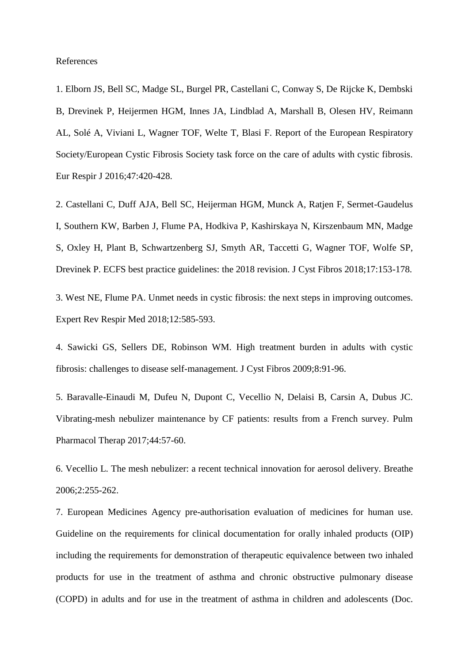References

1. Elborn JS, Bell SC, Madge SL, Burgel PR, Castellani C, Conway S, De Rijcke K, Dembski B, Drevinek P, Heijermen HGM, Innes JA, Lindblad A, Marshall B, Olesen HV, Reimann AL, Solé A, Viviani L, Wagner TOF, Welte T, Blasi F. Report of the European Respiratory Society/European Cystic Fibrosis Society task force on the care of adults with cystic fibrosis. Eur Respir J 2016;47:420-428.

2. Castellani C, Duff AJA, Bell SC, Heijerman HGM, Munck A, Ratjen F, Sermet-Gaudelus I, Southern KW, Barben J, Flume PA, Hodkiva P, Kashirskaya N, Kirszenbaum MN, Madge S, Oxley H, Plant B, Schwartzenberg SJ, Smyth AR, Taccetti G, Wagner TOF, Wolfe SP, Drevinek P. ECFS best practice guidelines: the 2018 revision. J Cyst Fibros 2018;17:153-178.

3. West NE, Flume PA. Unmet needs in cystic fibrosis: the next steps in improving outcomes. Expert Rev Respir Med 2018;12:585-593.

4. Sawicki GS, Sellers DE, Robinson WM. High treatment burden in adults with cystic fibrosis: challenges to disease self-management. J Cyst Fibros 2009;8:91-96.

5. Baravalle-Einaudi M, Dufeu N, Dupont C, Vecellio N, Delaisi B, Carsin A, Dubus JC. Vibrating-mesh nebulizer maintenance by CF patients: results from a French survey. Pulm Pharmacol Therap 2017;44:57-60.

6. Vecellio L. The mesh nebulizer: a recent technical innovation for aerosol delivery. Breathe 2006;2:255-262.

7. European Medicines Agency pre-authorisation evaluation of medicines for human use. Guideline on the requirements for clinical documentation for orally inhaled products (OIP) including the requirements for demonstration of therapeutic equivalence between two inhaled products for use in the treatment of asthma and chronic obstructive pulmonary disease (COPD) in adults and for use in the treatment of asthma in children and adolescents (Doc.